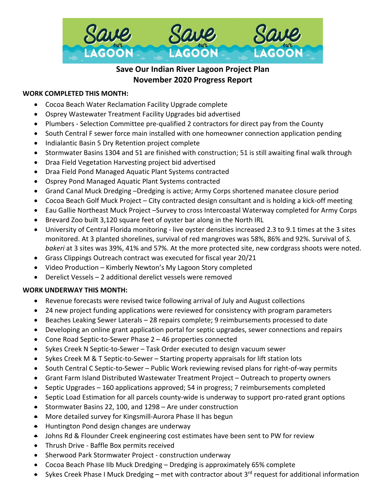

# **Save Our Indian River Lagoon Project Plan November 2020 Progress Report**

## **WORK COMPLETED THIS MONTH:**

- Cocoa Beach Water Reclamation Facility Upgrade complete
- Osprey Wastewater Treatment Facility Upgrades bid advertised
- Plumbers Selection Committee pre-qualified 2 contractors for direct pay from the County
- South Central F sewer force main installed with one homeowner connection application pending
- Indialantic Basin 5 Dry Retention project complete
- Stormwater Basins 1304 and 51 are finished with construction; 51 is still awaiting final walk through
- Draa Field Vegetation Harvesting project bid advertised
- Draa Field Pond Managed Aquatic Plant Systems contracted
- Osprey Pond Managed Aquatic Plant Systems contracted
- Grand Canal Muck Dredging –Dredging is active; Army Corps shortened manatee closure period
- Cocoa Beach Golf Muck Project City contracted design consultant and is holding a kick-off meeting
- Eau Gallie Northeast Muck Project –Survey to cross Intercoastal Waterway completed for Army Corps
- Brevard Zoo built 3,120 square feet of oyster bar along in the North IRL
- University of Central Florida monitoring live oyster densities increased 2.3 to 9.1 times at the 3 sites monitored. At 3 planted shorelines, survival of red mangroves was 58%, 86% and 92%. Survival of *S. bakeri* at 3 sites was 39%, 41% and 57%. At the more protected site, new cordgrass shoots were noted.
- Grass Clippings Outreach contract was executed for fiscal year 20/21
- Video Production Kimberly Newton's My Lagoon Story completed
- Derelict Vessels 2 additional derelict vessels were removed

#### **WORK UNDERWAY THIS MONTH:**

- Revenue forecasts were revised twice following arrival of July and August collections
- 24 new project funding applications were reviewed for consistency with program parameters
- Beaches Leaking Sewer Laterals 28 repairs complete; 9 reimbursements processed to date
- Developing an online grant application portal for septic upgrades, sewer connections and repairs
- Cone Road Septic-to-Sewer Phase 2 46 properties connected
- Sykes Creek N Septic-to-Sewer Task Order executed to design vacuum sewer
- Sykes Creek M & T Septic-to-Sewer Starting property appraisals for lift station lots
- South Central C Septic-to-Sewer Public Work reviewing revised plans for right-of-way permits
- Grant Farm Island Distributed Wastewater Treatment Project Outreach to property owners
- Septic Upgrades 160 applications approved; 54 in progress; 7 reimbursements completed
- Septic Load Estimation for all parcels county-wide is underway to support pro-rated grant options
- Stormwater Basins 22, 100, and 1298 Are under construction
- More detailed survey for Kingsmill-Aurora Phase II has begun
- Huntington Pond design changes are underway
- Johns Rd & Flounder Creek engineering cost estimates have been sent to PW for review
- Thrush Drive Baffle Box permits received
- Sherwood Park Stormwater Project construction underway
- Cocoa Beach Phase IIb Muck Dredging Dredging is approximately 65% complete
- Sykes Creek Phase I Muck Dredging met with contractor about 3<sup>rd</sup> request for additional information